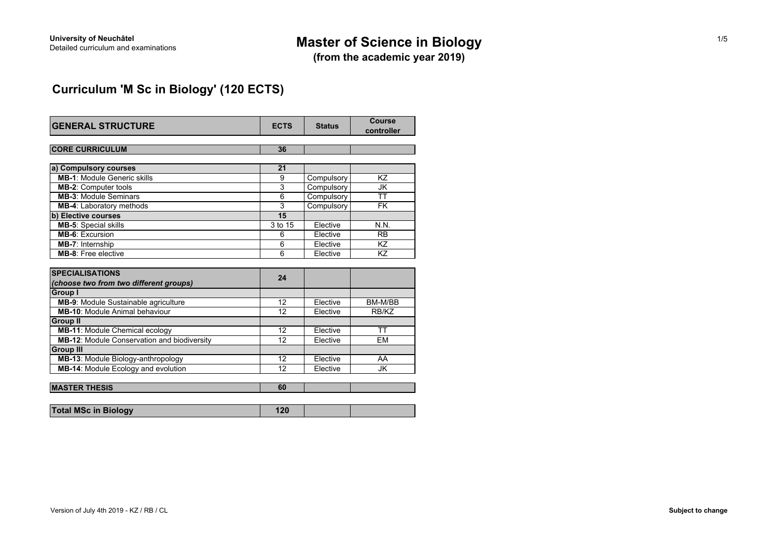# **Master of Science in Biology**

**(from the academic year 2019)**

## **Curriculum 'M Sc in Biology' (120 ECTS)**

| <b>GENERAL STRUCTURE</b>                                                                    | <b>ECTS</b>     | <b>Status</b> | Course<br>controller     |
|---------------------------------------------------------------------------------------------|-----------------|---------------|--------------------------|
| <b>CORE CURRICULUM</b>                                                                      | 36              |               |                          |
| a) Compulsory courses                                                                       | 21              |               |                          |
| <b>MB-1: Module Generic skills</b>                                                          | 9               | Compulsory    | KZ                       |
| <b>MB-2: Computer tools</b>                                                                 | 3               | Compulsory    | JK                       |
| <b>MB-3: Module Seminars</b>                                                                | 6               | Compulsory    | $\overline{\mathsf{TT}}$ |
| <b>MB-4:</b> Laboratory methods                                                             | 3               | Compulsory    | <b>FK</b>                |
| b) Elective courses                                                                         | 15              |               |                          |
| <b>MB-5: Special skills</b>                                                                 | 3 to 15         | Elective      | N.N.                     |
| <b>MB-6: Excursion</b>                                                                      | 6               | Elective      | <b>RB</b>                |
| MB-7: Internship                                                                            | 6               | Elective      | KZ                       |
| <b>MB-8:</b> Free elective                                                                  | 6               | Elective      | KZ                       |
| <b>SPECIALISATIONS</b><br>(choose two from two different groups)                            | 24              |               |                          |
| <b>Group I</b>                                                                              |                 |               |                          |
| MB-9: Module Sustainable agriculture                                                        | $\overline{12}$ | Elective      | BM-M/BB                  |
| <b>MB-10:</b> Module Animal behaviour                                                       | 12              | Elective      | RB/KZ                    |
| <b>Group II</b>                                                                             | 12              | Flective      | $\overline{\mathsf{TT}}$ |
| <b>MB-11: Module Chemical ecology</b><br><b>MB-12: Module Conservation and biodiversity</b> | 12              | Elective      | <b>EM</b>                |
| <b>Group III</b>                                                                            |                 |               |                          |
| MB-13: Module Biology-anthropology                                                          | 12              | Elective      | AA                       |
| MB-14: Module Ecology and evolution                                                         | 12              | Elective      | <b>JK</b>                |
|                                                                                             |                 |               |                          |
| <b>MASTER THESIS</b>                                                                        | 60              |               |                          |
| <b>Total MSc in Biology</b>                                                                 | 120             |               |                          |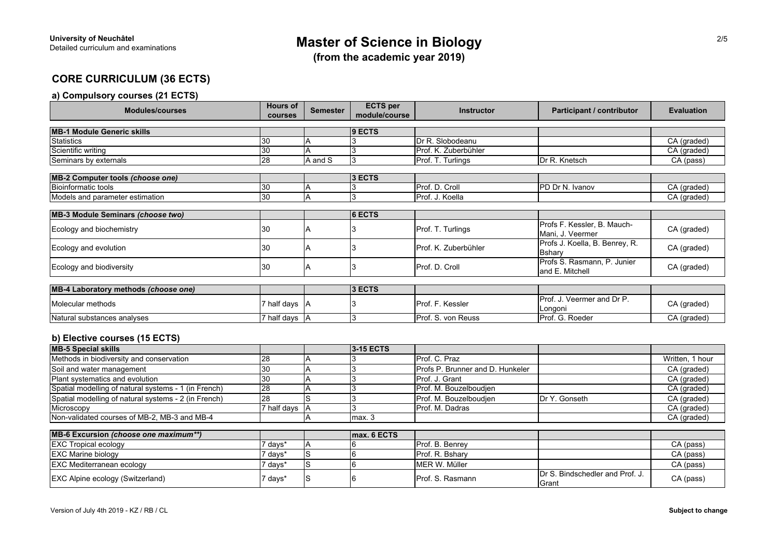**(from the academic year 2019)**

## **CORE CURRICULUM (36 ECTS)**

## **a) Compulsory courses (21 ECTS)**

| <b>Modules/courses</b>                                         | <b>Hours of</b><br>courses | <b>Semester</b> | <b>ECTS</b> per<br>module/course | <b>Instructor</b>                | <b>Participant / contributor</b>                 | <b>Evaluation</b> |
|----------------------------------------------------------------|----------------------------|-----------------|----------------------------------|----------------------------------|--------------------------------------------------|-------------------|
| <b>MB-1 Module Generic skills</b>                              |                            |                 | 9 ECTS                           |                                  |                                                  |                   |
| Statistics                                                     | 30                         | Α               |                                  | Dr R. Slobodeanu                 |                                                  | CA (graded)       |
| Scientific writing                                             | 30                         | A               | 3                                | Prof. K. Zuberbühler             |                                                  | CA (graded)       |
| Seminars by externals                                          | 28                         | A and S         | 3                                | Prof. T. Turlings                | Dr R. Knetsch                                    | CA (pass)         |
|                                                                |                            |                 |                                  |                                  |                                                  |                   |
| MB-2 Computer tools (choose one)<br><b>Bioinformatic tools</b> |                            |                 | 3 ECTS                           |                                  |                                                  |                   |
|                                                                | 30                         | Α               |                                  | Prof. D. Croll                   | PD Dr N. Ivanov                                  | CA (graded)       |
| Models and parameter estimation                                | 30                         | A               | 3                                | Prof. J. Koella                  |                                                  | CA (graded)       |
| <b>MB-3 Module Seminars (choose two)</b>                       |                            |                 | 6 ECTS                           |                                  |                                                  |                   |
| Ecology and biochemistry                                       | 30                         | Α               |                                  | Prof. T. Turlings                | Profs F. Kessler, B. Mauch-<br>Mani, J. Veermer  | CA (graded)       |
| Ecology and evolution                                          | 30                         | A               | 3                                | Prof. K. Zuberbühler             | Profs J. Koella, B. Benrey, R.<br><b>Bsharv</b>  | CA (graded)       |
| Ecology and biodiversity                                       | 30                         | A               | 3                                | Prof. D. Croll                   | Profs S. Rasmann, P. Junier<br>and E. Mitchell   | CA (graded)       |
| MB-4 Laboratory methods (choose one)                           |                            |                 | 3 ECTS                           |                                  |                                                  |                   |
| Molecular methods                                              | 7 half days A              |                 |                                  | Prof. F. Kessler                 | Prof. J. Veermer and Dr P.<br>Longoni            | CA (graded)       |
| Natural substances analyses                                    | 7 half days A              |                 | 3                                | Prof. S. von Reuss               | Prof. G. Roeder                                  | CA (graded)       |
| b) Elective courses (15 ECTS)                                  |                            |                 |                                  |                                  |                                                  |                   |
| <b>MB-5 Special skills</b>                                     |                            |                 | 3-15 ECTS                        |                                  |                                                  |                   |
| Methods in biodiversity and conservation                       | 28                         | A               |                                  | Prof. C. Praz                    |                                                  | Written, 1 hour   |
| Soil and water management                                      | 30                         | A               | 3                                | Profs P. Brunner and D. Hunkeler |                                                  | CA (graded)       |
| Plant systematics and evolution                                | 30                         | A               | 3                                | Prof. J. Grant                   |                                                  | CA (graded)       |
| Spatial modelling of natural systems - 1 (in French)           | 28                         | A               |                                  | Prof. M. Bouzelboudjen           |                                                  | CA (graded)       |
| Spatial modelling of natural systems - 2 (in French)           | 28                         | S               | 3                                | Prof. M. Bouzelboudien           | Dr Y. Gonseth                                    | CA (graded)       |
| Microscopy                                                     | 7 half days                | A               | 3                                | Prof. M. Dadras                  |                                                  | CA (graded)       |
| Non-validated courses of MB-2, MB-3 and MB-4                   |                            | A               | max.3                            |                                  |                                                  | CA (graded)       |
| MB-6 Excursion (choose one maximum**)                          |                            |                 | max. 6 ECTS                      |                                  |                                                  |                   |
| <b>EXC Tropical ecology</b>                                    | 7 days*                    | A               | 6                                | Prof. B. Benrey                  |                                                  | CA (pass)         |
| <b>EXC Marine biology</b>                                      | 7 days*                    | s               | 6                                | Prof. R. Bshary                  |                                                  | CA (pass)         |
| <b>EXC Mediterranean ecology</b>                               | days*                      | ls              | 6                                | MER W. Müller                    |                                                  | CA (pass)         |
| <b>EXC Alpine ecology (Switzerland)</b>                        | 7 days*                    | S               | 6                                | Prof. S. Rasmann                 | Dr S. Bindschedler and Prof. J.<br><b>IGrant</b> | CA (pass)         |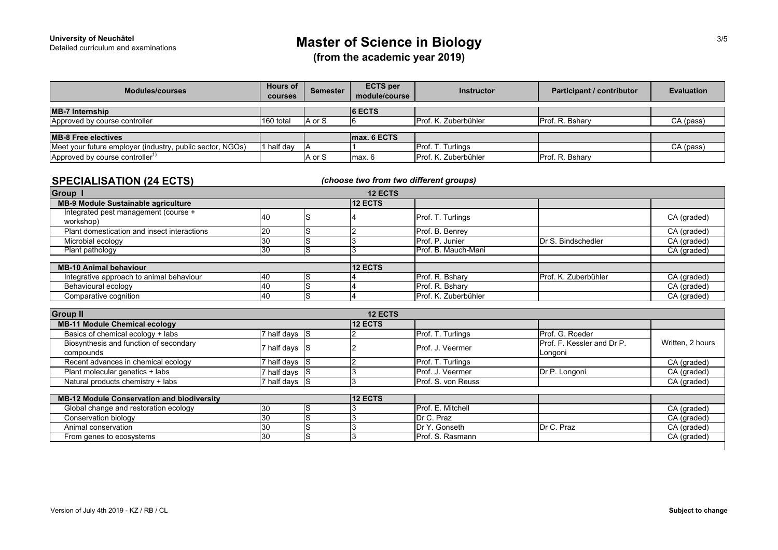**(from the academic year 2019)**

| <b>Modules/courses</b>                                    | <b>Hours of</b><br><b>courses</b> | <b>Semester</b> | <b>ECTS</b> per<br>module/course | <b>Instructor</b>           | Participant / contributor | <b>Evaluation</b> |
|-----------------------------------------------------------|-----------------------------------|-----------------|----------------------------------|-----------------------------|---------------------------|-------------------|
| <b>MB-7 Internship</b>                                    |                                   |                 | <b>6 ECTS</b>                    |                             |                           |                   |
| Approved by course controller                             | 160 total                         | A or S          |                                  | Prof. K. Zuberbühler        | Prof. R. Bsharv           | CA (pass)         |
|                                                           |                                   |                 |                                  |                             |                           |                   |
| <b>MB-8 Free electives</b>                                |                                   |                 | Imax, 6 ECTS                     |                             |                           |                   |
| Meet your future employer (industry, public sector, NGOs) | 1 half day                        |                 |                                  | Prof. T. Turlings           |                           | CA (pass)         |
| Approved by course controller <sup>1)</sup>               |                                   | A or S          | max <sub>6</sub>                 | <b>Prof. K. Zuberbühler</b> | Prof. R. Bshary           |                   |

### **SPECIALISATION (24 ECTS)**

*(choose two from two different groups)*

| <b>Group I</b>                                    |    | <b>12 ECTS</b> |                          |                      |             |
|---------------------------------------------------|----|----------------|--------------------------|----------------------|-------------|
| MB-9 Module Sustainable agriculture               |    | <b>12 ECTS</b> |                          |                      |             |
| Integrated pest management (course +<br>workshop) | 40 |                | <b>Prof. T. Turlings</b> |                      | CA (graded) |
| Plant domestication and insect interactions       |    |                | Prof. B. Benrev          |                      | CA (graded) |
| Microbial ecology                                 |    |                | Prof. P. Junier          | Dr S. Bindschedler   | CA (graded) |
| Plant pathology                                   |    |                | Prof. B. Mauch-Mani      |                      | CA (graded) |
|                                                   |    |                |                          |                      |             |
| <b>MB-10 Animal behaviour</b>                     |    | <b>12 ECTS</b> |                          |                      |             |
| Integrative approach to animal behaviour          | 40 |                | Prof. R. Bsharv          | Prof. K. Zuberbühler | CA (graded) |
| Behavioural ecology                               | 40 |                | Prof. R. Bsharv          |                      | CA (graded) |
| Comparative cognition                             | 40 |                | Prof. K. Zuberbühler     |                      | CA (graded) |

| <b>Group II</b>                                   |               |    | <b>12 ECTS</b> |                    |                                   |                  |
|---------------------------------------------------|---------------|----|----------------|--------------------|-----------------------------------|------------------|
| <b>MB-11 Module Chemical ecology</b>              |               |    | <b>12 ECTS</b> |                    |                                   |                  |
| Basics of chemical ecology + labs                 | 7 half days S |    |                | Prof. T. Turlings  | Prof. G. Roeder                   |                  |
| Biosynthesis and function of secondary            | 7 half days S |    |                | Prof. J. Veermer   | <b>Prof. F. Kessler and Dr P.</b> | Written, 2 hours |
| compounds                                         |               |    |                |                    | Longoni                           |                  |
| Recent advances in chemical ecology               | 7 half days S |    |                | Prof. T. Turlings  |                                   | CA (graded)      |
| Plant molecular genetics + labs                   | 7 half days S |    |                | Prof. J. Veermer   | Dr P. Longoni                     | CA (graded)      |
| Natural products chemistry + labs                 | 7 half days S |    |                | Prof. S. von Reuss |                                   | CA (graded)      |
|                                                   |               |    |                |                    |                                   |                  |
| <b>MB-12 Module Conservation and biodiversity</b> |               |    | 12 ECTS        |                    |                                   |                  |
| Global change and restoration ecology             | 30            | lS |                | Prof. E. Mitchell  |                                   | CA (graded)      |
| Conservation biology                              | 30            | lS |                | Dr C. Praz         |                                   | CA (graded)      |
| Animal conservation                               | 30            | lS |                | Dr Y. Gonseth      | Dr C. Praz                        | CA (graded)      |
| From genes to ecosystems                          | 30            | lS |                | Prof. S. Rasmann   |                                   | CA (graded)      |
|                                                   |               |    |                |                    |                                   |                  |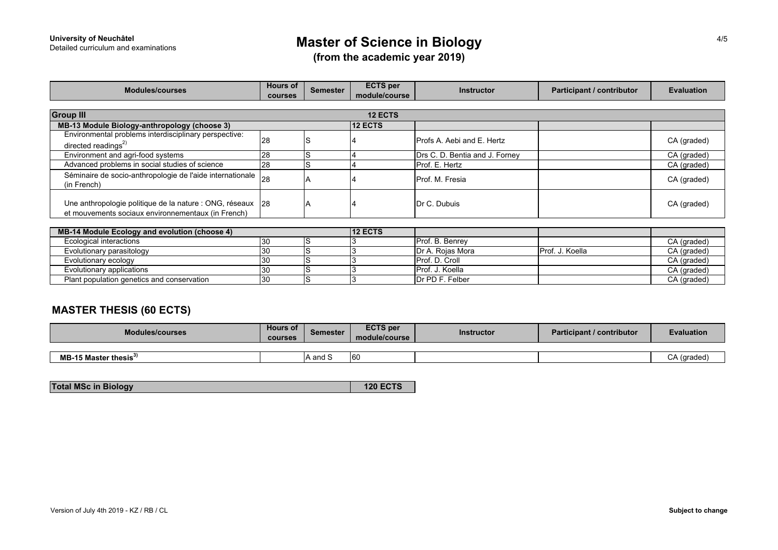# **Master of Science in Biology**

**(from the academic year 2019)**

| <b>Modules/courses</b>                                                                                           | <b>Hours of</b> | <b>Semester</b> | <b>ECTS</b> per | <b>Instructor</b>                 | Participant / contributor | <b>Evaluation</b> |  |  |  |
|------------------------------------------------------------------------------------------------------------------|-----------------|-----------------|-----------------|-----------------------------------|---------------------------|-------------------|--|--|--|
|                                                                                                                  | courses         |                 | module/course   |                                   |                           |                   |  |  |  |
| <b>Group III</b><br><b>12 ECTS</b>                                                                               |                 |                 |                 |                                   |                           |                   |  |  |  |
| MB-13 Module Biology-anthropology (choose 3)                                                                     |                 |                 | <b>12 ECTS</b>  |                                   |                           |                   |  |  |  |
| Environmental problems interdisciplinary perspective:<br>directed readings $^{2)}$                               | 28              |                 |                 | <b>Profs A. Aebi and E. Hertz</b> |                           | CA (graded)       |  |  |  |
| Environment and agri-food systems                                                                                | 28              | lS              |                 | Drs C. D. Bentia and J. Forney    |                           | CA (graded)       |  |  |  |
| Advanced problems in social studies of science                                                                   | 28              | lS              |                 | Prof. E. Hertz                    |                           | CA (graded)       |  |  |  |
| Séminaire de socio-anthropologie de l'aide internationale 28<br>(in French)                                      |                 |                 |                 | Prof. M. Fresia                   |                           | CA (graded)       |  |  |  |
| Une anthropologie politique de la nature : ONG, réseaux 28<br>et mouvements sociaux environnementaux (in French) |                 |                 |                 | Dr C. Dubuis                      |                           | CA (graded)       |  |  |  |
|                                                                                                                  |                 |                 |                 |                                   |                           |                   |  |  |  |
| MB-14 Module Ecology and evolution (choose 4)                                                                    |                 |                 | <b>12 ECTS</b>  |                                   |                           |                   |  |  |  |
| Ecological interactions                                                                                          | 30              | ls              |                 | Prof. B. Benrey                   |                           | CA (graded)       |  |  |  |
| Evolutionary parasitology                                                                                        | 30              | S               |                 | Dr A. Rojas Mora                  | Prof. J. Koella           | CA (graded)       |  |  |  |
| Evolutionary ecology                                                                                             | 30              | lS              |                 | Prof. D. Croll                    |                           | CA (graded)       |  |  |  |
| Evolutionary applications                                                                                        | 30              | lS              |                 | Prof. J. Koella                   |                           | CA (graded)       |  |  |  |
| Plant population genetics and conservation                                                                       | 30              | lS              |                 | Dr PD F. Felber                   |                           | CA (graded)       |  |  |  |

## **MASTER THESIS (60 ECTS)**

| <b>Modules/courses</b>                  | <b>Hours of</b><br>courses | Semester                  | <b>ECTS</b> per<br>module/course | <b>Instructor</b> | <b>Participant / contributor</b> | <b>Evaluation</b> |
|-----------------------------------------|----------------------------|---------------------------|----------------------------------|-------------------|----------------------------------|-------------------|
|                                         |                            |                           |                                  |                   |                                  |                   |
| <b>MB-15 Master thesis<sup>3)</sup></b> |                            | $\sim$<br><b>IA and と</b> | 160                              |                   |                                  | laradad<br>ıaucu  |

| <b>Total MSc in Biology</b> | <b>120 ECTS</b> |
|-----------------------------|-----------------|